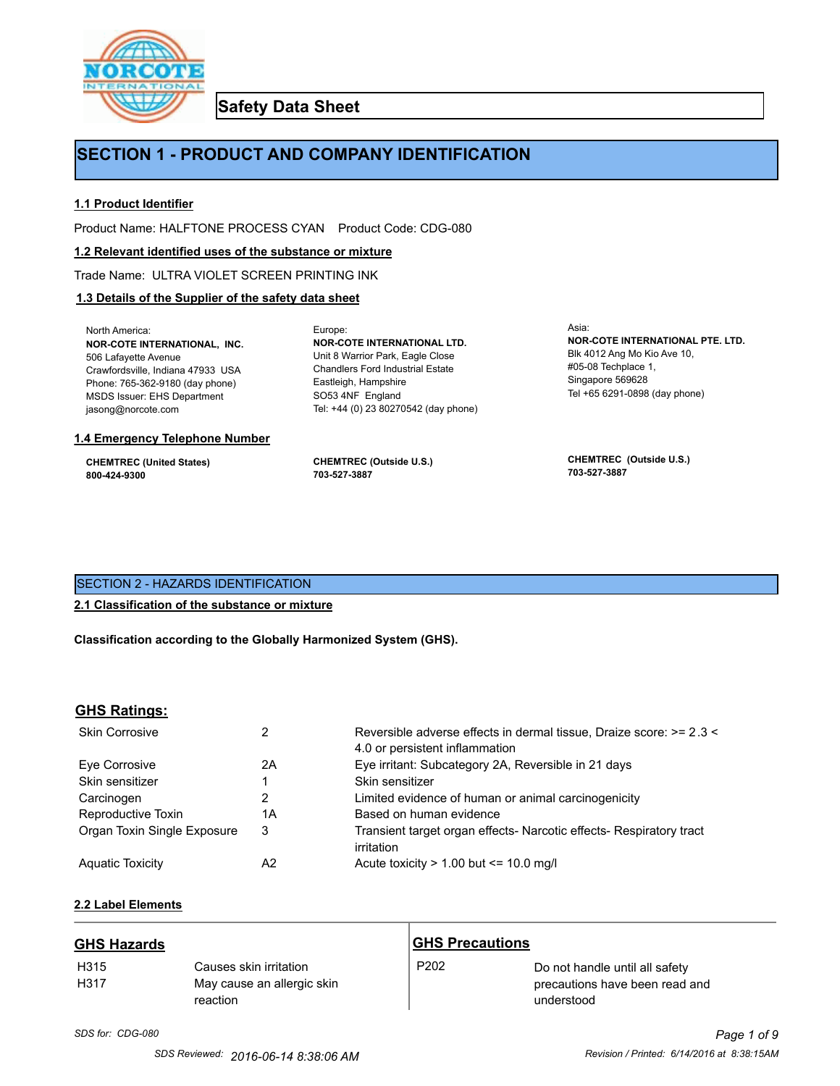

**Safety Data Sheet**

## **SECTION 1 - PRODUCT AND COMPANY IDENTIFICATION**

Europe:

## **1.1 Product Identifier**

Product Name: HALFTONE PROCESS CYAN Product Code: CDG-080

#### **1.2 Relevant identified uses of the substance or mixture**

Trade Name: ULTRA VIOLET SCREEN PRINTING INK

## **1.3 Details of the Supplier of the safety data sheet**

North America: **NOR-COTE INTERNATIONAL, INC.** 506 Lafayette Avenue Crawfordsville, Indiana 47933 USA Phone: 765-362-9180 (day phone) MSDS Issuer: EHS Department jasong@norcote.com

#### **1.4 Emergency Telephone Number**

**CHEMTREC (United States) 800-424-9300**

**CHEMTREC (Outside U.S.) 703-527-3887**

Eastleigh, Hampshire SO53 4NF England

**NOR-COTE INTERNATIONAL LTD.** Unit 8 Warrior Park, Eagle Close Chandlers Ford Industrial Estate

Tel: +44 (0) 23 80270542 (day phone)

Asia: **NOR-COTE INTERNATIONAL PTE. LTD.** Blk 4012 Ang Mo Kio Ave 10, #05-08 Techplace 1, Singapore 569628 Tel +65 6291-0898 (day phone)

**CHEMTREC (Outside U.S.) 703-527-3887**

## SECTION 2 - HAZARDS IDENTIFICATION

#### **2.1 Classification of the substance or mixture**

**Classification according to the Globally Harmonized System (GHS).**

#### **GHS Ratings:**

| <b>Skin Corrosive</b>       | 2  | Reversible adverse effects in dermal tissue, Draize score: >= 2.3 <<br>4.0 or persistent inflammation |
|-----------------------------|----|-------------------------------------------------------------------------------------------------------|
| Eve Corrosive               | 2A | Eye irritant: Subcategory 2A, Reversible in 21 days                                                   |
| Skin sensitizer             |    | Skin sensitizer                                                                                       |
| Carcinogen                  |    | Limited evidence of human or animal carcinogenicity                                                   |
| Reproductive Toxin          | 1A | Based on human evidence                                                                               |
| Organ Toxin Single Exposure | 3  | Transient target organ effects- Narcotic effects- Respiratory tract<br>irritation                     |
| <b>Aguatic Toxicity</b>     | A2 | Acute toxicity $> 1.00$ but $\leq 10.0$ mg/l                                                          |

## **2.2 Label Elements**

| <b>GHS Hazards</b>       |                                                                  | <b>GHS Precautions</b> |                                                                                |
|--------------------------|------------------------------------------------------------------|------------------------|--------------------------------------------------------------------------------|
| H <sub>315</sub><br>H317 | Causes skin irritation<br>May cause an allergic skin<br>reaction | P <sub>202</sub>       | Do not handle until all safety<br>precautions have been read and<br>understood |

# *SDS for: CDG-080 Page 1 of 9*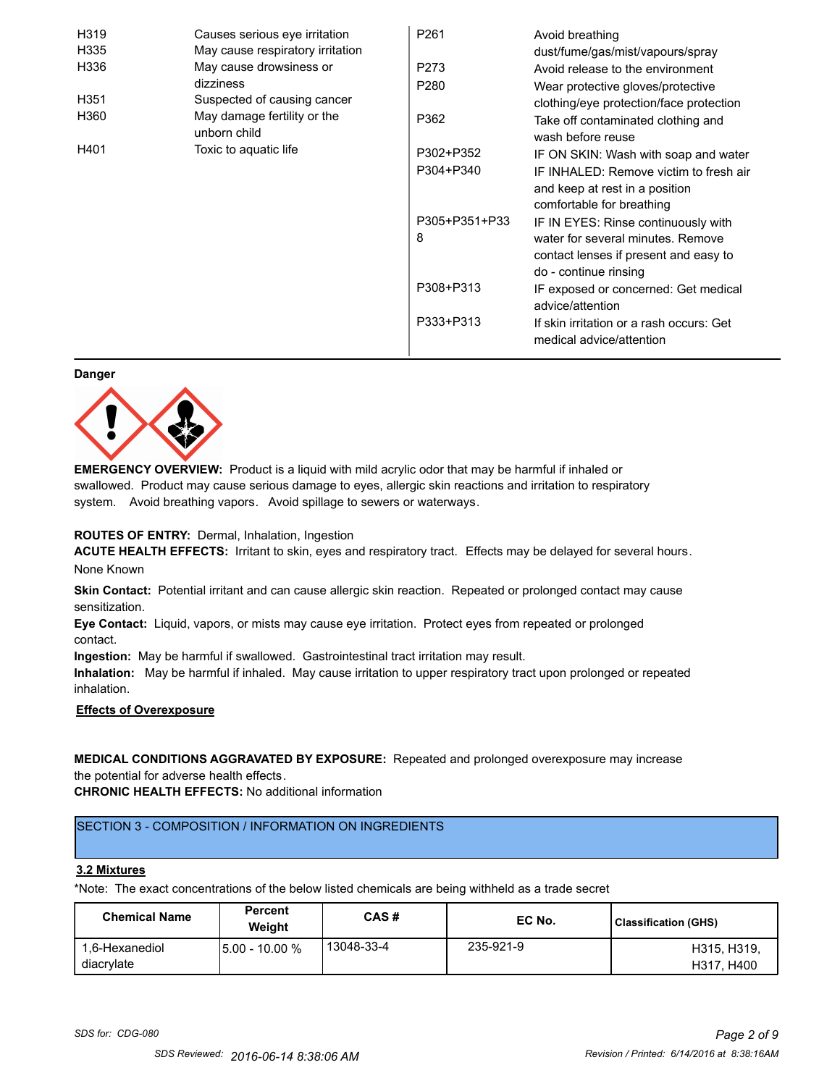| H319             | Causes serious eye irritation               | P <sub>261</sub> | Avoid breathing                                                      |
|------------------|---------------------------------------------|------------------|----------------------------------------------------------------------|
| H335             | May cause respiratory irritation            |                  | dust/fume/gas/mist/vapours/spray                                     |
| H336             | May cause drowsiness or                     | P273             | Avoid release to the environment                                     |
|                  | dizziness                                   | P <sub>280</sub> | Wear protective gloves/protective                                    |
| H <sub>351</sub> | Suspected of causing cancer                 |                  | clothing/eye protection/face protection                              |
| H360             | May damage fertility or the<br>unborn child | P362             | Take off contaminated clothing and<br>wash before reuse              |
| H401             | Toxic to aquatic life                       | P302+P352        | IF ON SKIN: Wash with soap and water                                 |
|                  |                                             | P304+P340        | IF INHALED: Remove victim to fresh air                               |
|                  |                                             |                  | and keep at rest in a position                                       |
|                  |                                             |                  | comfortable for breathing                                            |
|                  |                                             | P305+P351+P33    | IF IN EYES: Rinse continuously with                                  |
|                  |                                             | 8                | water for several minutes. Remove                                    |
|                  |                                             |                  | contact lenses if present and easy to                                |
|                  |                                             |                  | do - continue rinsing                                                |
|                  |                                             | P308+P313        | IF exposed or concerned: Get medical                                 |
|                  |                                             |                  | advice/attention                                                     |
|                  |                                             | P333+P313        | If skin irritation or a rash occurs: Get<br>medical advice/attention |

#### **Danger**



**EMERGENCY OVERVIEW:** Product is a liquid with mild acrylic odor that may be harmful if inhaled or swallowed. Product may cause serious damage to eyes, allergic skin reactions and irritation to respiratory system. Avoid breathing vapors. Avoid spillage to sewers or waterways.

#### **ROUTES OF ENTRY:** Dermal, Inhalation, Ingestion

**ACUTE HEALTH EFFECTS:** Irritant to skin, eyes and respiratory tract. Effects may be delayed for several hours. None Known

**Skin Contact:** Potential irritant and can cause allergic skin reaction. Repeated or prolonged contact may cause sensitization.

**Eye Contact:** Liquid, vapors, or mists may cause eye irritation. Protect eyes from repeated or prolonged contact.

**Ingestion:** May be harmful if swallowed. Gastrointestinal tract irritation may result.

**Inhalation:** May be harmful if inhaled. May cause irritation to upper respiratory tract upon prolonged or repeated inhalation.

## **Effects of Overexposure**

## **MEDICAL CONDITIONS AGGRAVATED BY EXPOSURE:** Repeated and prolonged overexposure may increase the potential for adverse health effects.

**CHRONIC HEALTH EFFECTS:** No additional information

## SECTION 3 - COMPOSITION / INFORMATION ON INGREDIENTS

#### **3.2 Mixtures**

\*Note: The exact concentrations of the below listed chemicals are being withheld as a trade secret

| <b>Chemical Name</b>         | <b>Percent</b><br>Weiaht | CAS#       | EC No.    | Classification (GHS)      |
|------------------------------|--------------------------|------------|-----------|---------------------------|
| 1.6-Hexanediol<br>diacrylate | 15.00 - 10.00 %          | 13048-33-4 | 235-921-9 | H315, H319.<br>H317, H400 |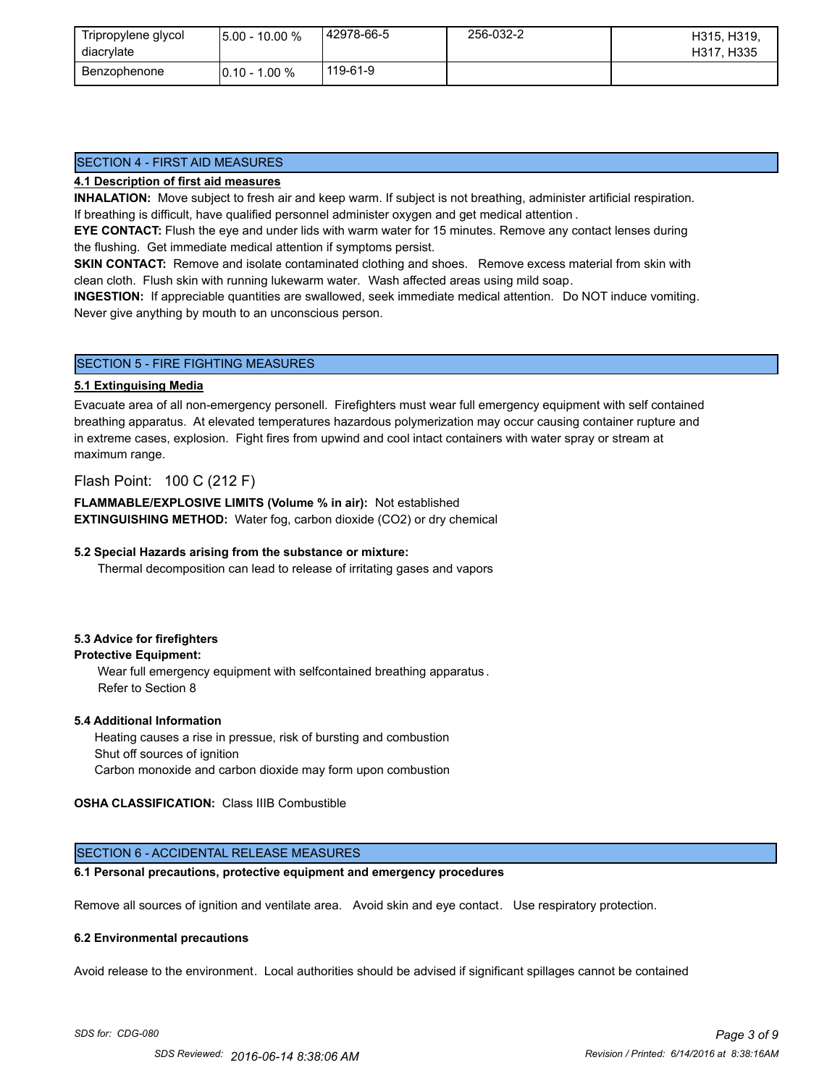| Tripropylene glycol<br>diacrylate | $15.00 - 10.00 %$ | 42978-66-5 | 256-032-2 | H315, H319,<br>H317, H335 |
|-----------------------------------|-------------------|------------|-----------|---------------------------|
| Benzophenone                      | $10.10 - 1.00 \%$ | 119-61-9   |           |                           |

## SECTION 4 - FIRST AID MEASURES

#### **4.1 Description of first aid measures**

**INHALATION:** Move subject to fresh air and keep warm. If subject is not breathing, administer artificial respiration. If breathing is difficult, have qualified personnel administer oxygen and get medical attention .

**EYE CONTACT:** Flush the eye and under lids with warm water for 15 minutes. Remove any contact lenses during the flushing. Get immediate medical attention if symptoms persist.

**SKIN CONTACT:** Remove and isolate contaminated clothing and shoes. Remove excess material from skin with clean cloth. Flush skin with running lukewarm water. Wash affected areas using mild soap.

**INGESTION:** If appreciable quantities are swallowed, seek immediate medical attention. Do NOT induce vomiting. Never give anything by mouth to an unconscious person.

#### SECTION 5 - FIRE FIGHTING MEASURES

#### **5.1 Extinguising Media**

Evacuate area of all non-emergency personell. Firefighters must wear full emergency equipment with self contained breathing apparatus. At elevated temperatures hazardous polymerization may occur causing container rupture and in extreme cases, explosion. Fight fires from upwind and cool intact containers with water spray or stream at maximum range.

## Flash Point: 100 C (212 F)

**FLAMMABLE/EXPLOSIVE LIMITS (Volume % in air):** Not established **EXTINGUISHING METHOD:** Water fog, carbon dioxide (CO2) or dry chemical

#### **5.2 Special Hazards arising from the substance or mixture:**

Thermal decomposition can lead to release of irritating gases and vapors

#### **5.3 Advice for firefighters**

#### **Protective Equipment:**

Wear full emergency equipment with selfcontained breathing apparatus . Refer to Section 8

#### **5.4 Additional Information**

 Heating causes a rise in pressue, risk of bursting and combustion Shut off sources of ignition Carbon monoxide and carbon dioxide may form upon combustion

#### **OSHA CLASSIFICATION:** Class IIIB Combustible

## SECTION 6 - ACCIDENTAL RELEASE MEASURES

## **6.1 Personal precautions, protective equipment and emergency procedures**

Remove all sources of ignition and ventilate area. Avoid skin and eye contact. Use respiratory protection.

#### **6.2 Environmental precautions**

Avoid release to the environment. Local authorities should be advised if significant spillages cannot be contained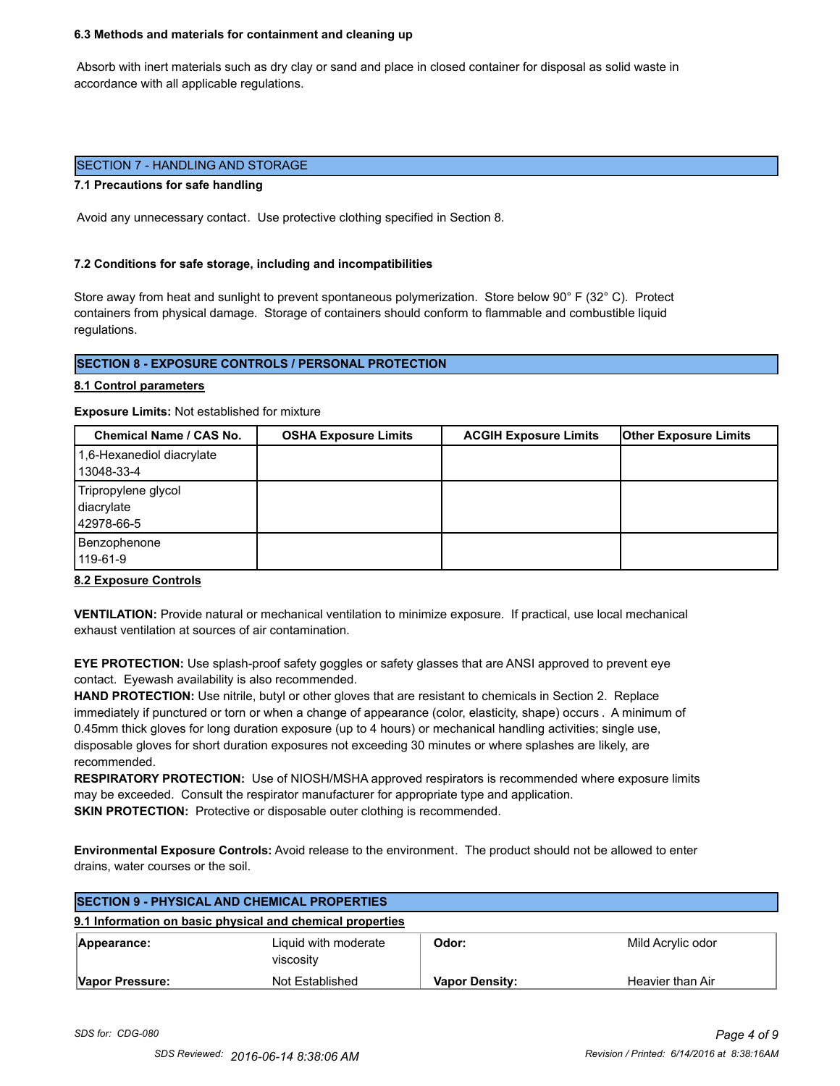#### **6.3 Methods and materials for containment and cleaning up**

 Absorb with inert materials such as dry clay or sand and place in closed container for disposal as solid waste in accordance with all applicable regulations.

#### SECTION 7 - HANDLING AND STORAGE

#### **7.1 Precautions for safe handling**

Avoid any unnecessary contact. Use protective clothing specified in Section 8.

#### **7.2 Conditions for safe storage, including and incompatibilities**

Store away from heat and sunlight to prevent spontaneous polymerization. Store below 90° F (32° C). Protect containers from physical damage. Storage of containers should conform to flammable and combustible liquid regulations.

## **SECTION 8 - EXPOSURE CONTROLS / PERSONAL PROTECTION**

#### **8.1 Control parameters**

**Exposure Limits:** Not established for mixture

| Chemical Name / CAS No.                         | <b>OSHA Exposure Limits</b> | <b>ACGIH Exposure Limits</b> | <b>Other Exposure Limits</b> |
|-------------------------------------------------|-----------------------------|------------------------------|------------------------------|
| 1,6-Hexanediol diacrylate<br>13048-33-4         |                             |                              |                              |
| Tripropylene glycol<br>diacrylate<br>42978-66-5 |                             |                              |                              |
| Benzophenone<br>119-61-9                        |                             |                              |                              |

#### **8.2 Exposure Controls**

**VENTILATION:** Provide natural or mechanical ventilation to minimize exposure. If practical, use local mechanical exhaust ventilation at sources of air contamination.

**EYE PROTECTION:** Use splash-proof safety goggles or safety glasses that are ANSI approved to prevent eye contact. Eyewash availability is also recommended.

**HAND PROTECTION:** Use nitrile, butyl or other gloves that are resistant to chemicals in Section 2. Replace immediately if punctured or torn or when a change of appearance (color, elasticity, shape) occurs . A minimum of 0.45mm thick gloves for long duration exposure (up to 4 hours) or mechanical handling activities; single use, disposable gloves for short duration exposures not exceeding 30 minutes or where splashes are likely, are recommended.

**RESPIRATORY PROTECTION:** Use of NIOSH/MSHA approved respirators is recommended where exposure limits may be exceeded. Consult the respirator manufacturer for appropriate type and application. **SKIN PROTECTION:** Protective or disposable outer clothing is recommended.

**Environmental Exposure Controls:** Avoid release to the environment. The product should not be allowed to enter drains, water courses or the soil.

| <b>SECTION 9 - PHYSICAL AND CHEMICAL PROPERTIES</b> |                                                           |                       |                   |
|-----------------------------------------------------|-----------------------------------------------------------|-----------------------|-------------------|
|                                                     | 9.1 Information on basic physical and chemical properties |                       |                   |
| Appearance:                                         | Liquid with moderate<br>viscosity                         | Odor:                 | Mild Acrylic odor |
| Vapor Pressure:                                     | Not Established                                           | <b>Vapor Density:</b> | Heavier than Air  |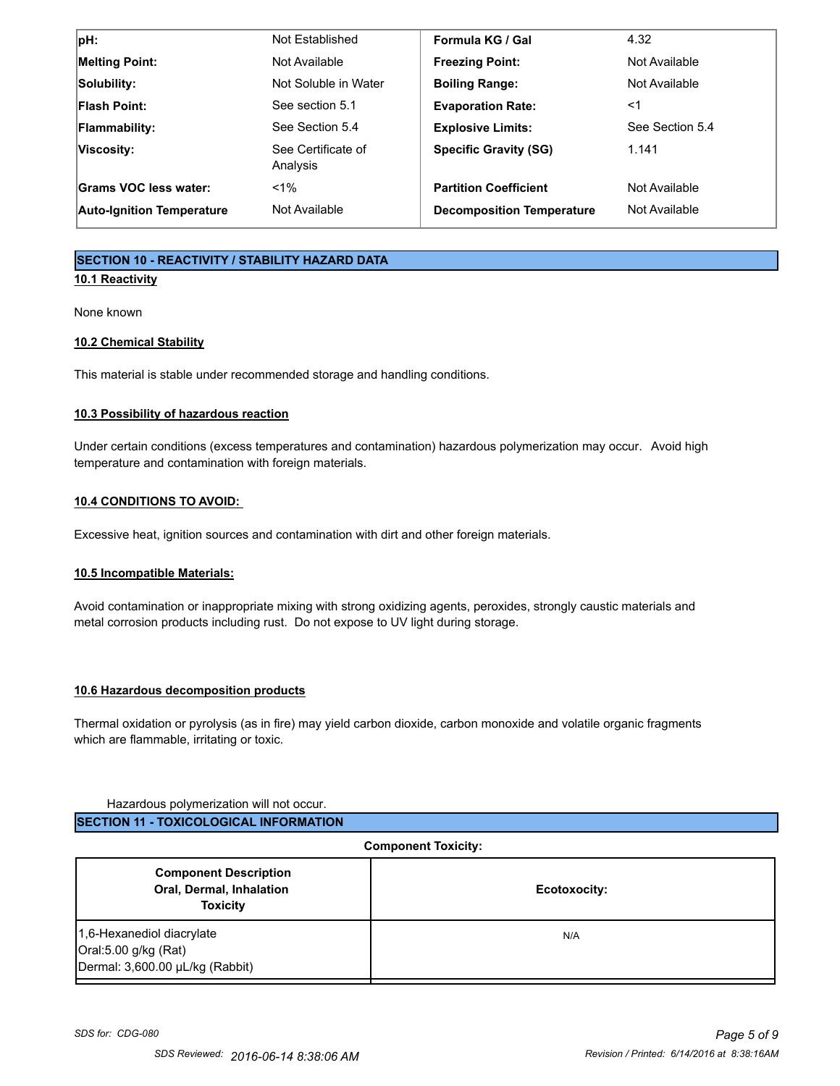| pH:                              | Not Established                | Formula KG / Gal                 | 4.32            |
|----------------------------------|--------------------------------|----------------------------------|-----------------|
| <b>Melting Point:</b>            | Not Available                  | <b>Freezing Point:</b>           | Not Available   |
| Solubility:                      | Not Soluble in Water           | <b>Boiling Range:</b>            | Not Available   |
| <b>Flash Point:</b>              | See section 5.1                | <b>Evaporation Rate:</b>         | <1              |
| Flammability:                    | See Section 5.4                | <b>Explosive Limits:</b>         | See Section 5.4 |
| Viscosity:                       | See Certificate of<br>Analysis | <b>Specific Gravity (SG)</b>     | 1.141           |
| Grams VOC less water:            | $< 1\%$                        | <b>Partition Coefficient</b>     | Not Available   |
| <b>Auto-Ignition Temperature</b> | Not Available                  | <b>Decomposition Temperature</b> | Not Available   |

## **SECTION 10 - REACTIVITY / STABILITY HAZARD DATA**

## **10.1 Reactivity**

None known

## **10.2 Chemical Stability**

This material is stable under recommended storage and handling conditions.

## **10.3 Possibility of hazardous reaction**

Under certain conditions (excess temperatures and contamination) hazardous polymerization may occur. Avoid high temperature and contamination with foreign materials.

## **10.4 CONDITIONS TO AVOID:**

Excessive heat, ignition sources and contamination with dirt and other foreign materials.

## **10.5 Incompatible Materials:**

Avoid contamination or inappropriate mixing with strong oxidizing agents, peroxides, strongly caustic materials and metal corrosion products including rust. Do not expose to UV light during storage.

## **10.6 Hazardous decomposition products**

Thermal oxidation or pyrolysis (as in fire) may yield carbon dioxide, carbon monoxide and volatile organic fragments which are flammable, irritating or toxic.

#### Hazardous polymerization will not occur.

| <b>ISECTION 11 - TOXICOLOGICAL INFORMATION</b> |
|------------------------------------------------|
|------------------------------------------------|

| <b>Component Toxicity:</b>                                                           |              |
|--------------------------------------------------------------------------------------|--------------|
| <b>Component Description</b><br>Oral, Dermal, Inhalation<br><b>Toxicity</b>          | Ecotoxocity: |
| 1,6-Hexanediol diacrylate<br>Oral:5.00 g/kg (Rat)<br>Dermal: 3,600.00 µL/kg (Rabbit) | N/A          |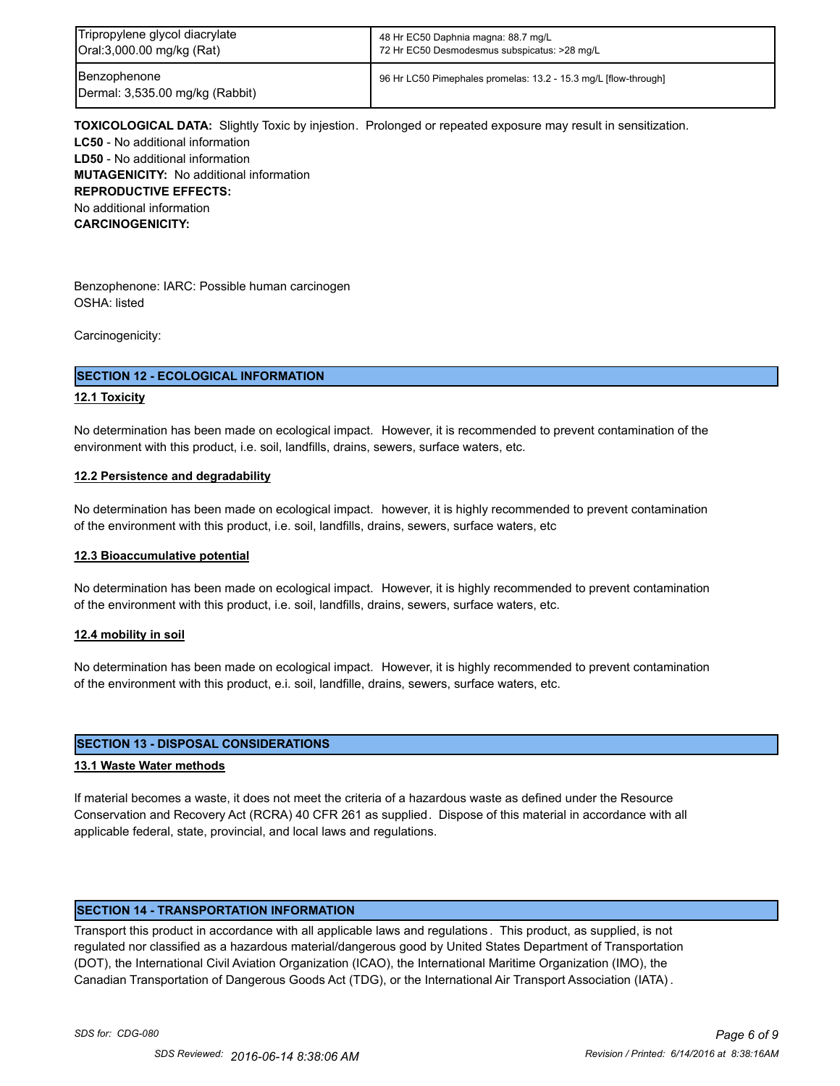| Tripropylene glycol diacrylate                  | 48 Hr EC50 Daphnia magna: 88.7 mg/L                             |
|-------------------------------------------------|-----------------------------------------------------------------|
| Oral:3,000.00 mg/kg (Rat)                       | 72 Hr EC50 Desmodesmus subspicatus: >28 mg/L                    |
| Benzophenone<br>Dermal: 3,535.00 mg/kg (Rabbit) | 96 Hr LC50 Pimephales promelas: 13.2 - 15.3 mg/L [flow-through] |

**TOXICOLOGICAL DATA:** Slightly Toxic by injestion. Prolonged or repeated exposure may result in sensitization. **LC50** - No additional information **LD50** - No additional information **MUTAGENICITY:** No additional information **REPRODUCTIVE EFFECTS:** No additional information **CARCINOGENICITY:**

Benzophenone: IARC: Possible human carcinogen OSHA: listed

Carcinogenicity:

#### **SECTION 12 - ECOLOGICAL INFORMATION**

#### **12.1 Toxicity**

No determination has been made on ecological impact. However, it is recommended to prevent contamination of the environment with this product, i.e. soil, landfills, drains, sewers, surface waters, etc.

#### **12.2 Persistence and degradability**

No determination has been made on ecological impact. however, it is highly recommended to prevent contamination of the environment with this product, i.e. soil, landfills, drains, sewers, surface waters, etc

#### **12.3 Bioaccumulative potential**

No determination has been made on ecological impact. However, it is highly recommended to prevent contamination of the environment with this product, i.e. soil, landfills, drains, sewers, surface waters, etc.

#### **12.4 mobility in soil**

No determination has been made on ecological impact. However, it is highly recommended to prevent contamination of the environment with this product, e.i. soil, landfille, drains, sewers, surface waters, etc.

#### **SECTION 13 - DISPOSAL CONSIDERATIONS**

#### **13.1 Waste Water methods**

If material becomes a waste, it does not meet the criteria of a hazardous waste as defined under the Resource Conservation and Recovery Act (RCRA) 40 CFR 261 as supplied. Dispose of this material in accordance with all applicable federal, state, provincial, and local laws and regulations.

#### **SECTION 14 - TRANSPORTATION INFORMATION**

Transport this product in accordance with all applicable laws and regulations . This product, as supplied, is not regulated nor classified as a hazardous material/dangerous good by United States Department of Transportation (DOT), the International Civil Aviation Organization (ICAO), the International Maritime Organization (IMO), the Canadian Transportation of Dangerous Goods Act (TDG), or the International Air Transport Association (IATA) .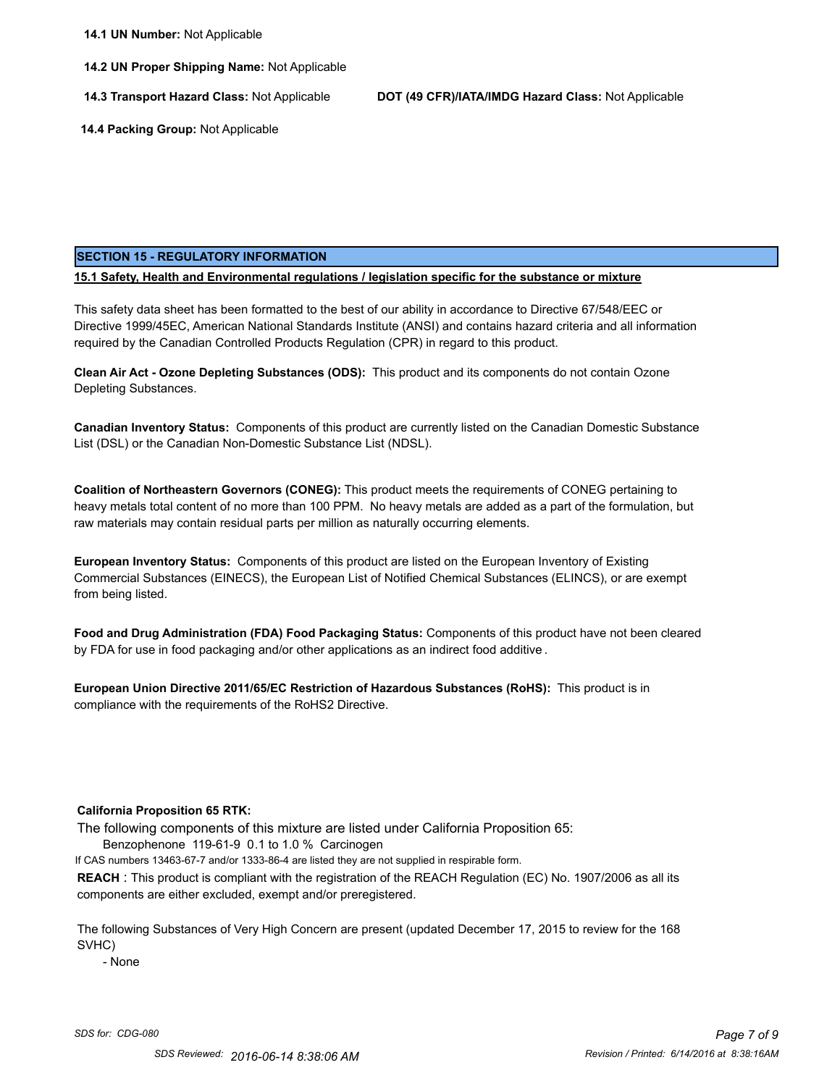**14.2 UN Proper Shipping Name:** Not Applicable

**14.3 Transport Hazard Class:** Not Applicable **DOT (49 CFR)/IATA/IMDG Hazard Class:** Not Applicable

 **14.4 Packing Group:** Not Applicable

#### **SECTION 15 - REGULATORY INFORMATION**

**15.1 Safety, Health and Environmental regulations / legislation specific for the substance or mixture**

This safety data sheet has been formatted to the best of our ability in accordance to Directive 67/548/EEC or Directive 1999/45EC, American National Standards Institute (ANSI) and contains hazard criteria and all information required by the Canadian Controlled Products Regulation (CPR) in regard to this product.

**Clean Air Act - Ozone Depleting Substances (ODS):** This product and its components do not contain Ozone Depleting Substances.

**Canadian Inventory Status:** Components of this product are currently listed on the Canadian Domestic Substance List (DSL) or the Canadian Non-Domestic Substance List (NDSL).

**Coalition of Northeastern Governors (CONEG):** This product meets the requirements of CONEG pertaining to heavy metals total content of no more than 100 PPM. No heavy metals are added as a part of the formulation, but raw materials may contain residual parts per million as naturally occurring elements.

**European Inventory Status:** Components of this product are listed on the European Inventory of Existing Commercial Substances (EINECS), the European List of Notified Chemical Substances (ELINCS), or are exempt from being listed.

**Food and Drug Administration (FDA) Food Packaging Status:** Components of this product have not been cleared by FDA for use in food packaging and/or other applications as an indirect food additive .

**European Union Directive 2011/65/EC Restriction of Hazardous Substances (RoHS):** This product is in compliance with the requirements of the RoHS2 Directive.

#### **California Proposition 65 RTK:**

The following components of this mixture are listed under California Proposition 65:

Benzophenone 119-61-9 0.1 to 1.0 % Carcinogen

If CAS numbers 13463-67-7 and/or 1333-86-4 are listed they are not supplied in respirable form.

**REACH** : This product is compliant with the registration of the REACH Regulation (EC) No. 1907/2006 as all its components are either excluded, exempt and/or preregistered.

The following Substances of Very High Concern are present (updated December 17, 2015 to review for the 168 SVHC)

- None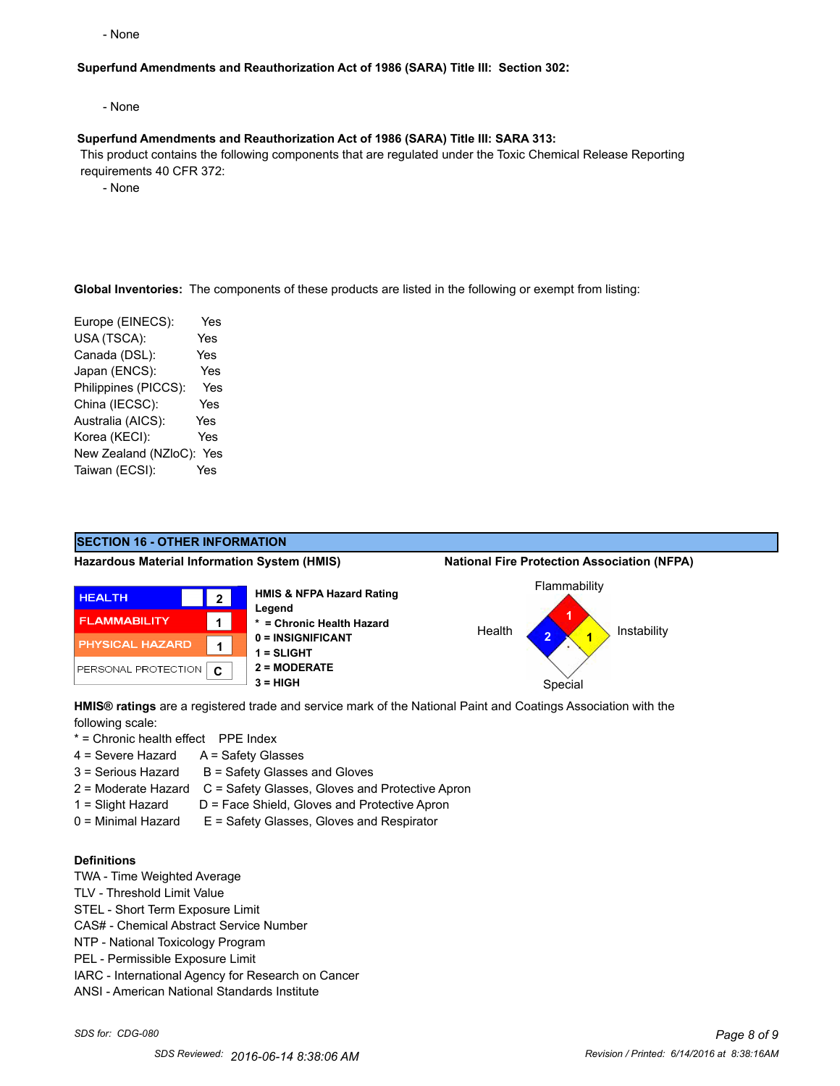- None

#### **Superfund Amendments and Reauthorization Act of 1986 (SARA) Title III: Section 302:**

- None

#### **Superfund Amendments and Reauthorization Act of 1986 (SARA) Title III: SARA 313:**

 This product contains the following components that are regulated under the Toxic Chemical Release Reporting requirements 40 CFR 372:

- None

**Global Inventories:** The components of these products are listed in the following or exempt from listing:

Europe (EINECS): Yes USA (TSCA): Yes Canada (DSL): Yes Japan (ENCS): Yes Philippines (PICCS): Yes China (IECSC): Yes Australia (AICS): Yes Korea (KECI): Yes New Zealand (NZloC): Yes Taiwan (ECSI): Yes



**HMIS® ratings** are a registered trade and service mark of the National Paint and Coatings Association with the following scale:

\* = Chronic health effect PPE Index

- 4 = Severe Hazard A = Safety Glasses
- $3 =$  Serious Hazard  $B =$  Safety Glasses and Gloves
- 2 = Moderate Hazard C = Safety Glasses, Gloves and Protective Apron
- 1 = Slight Hazard D = Face Shield, Gloves and Protective Apron
- 0 = Minimal Hazard E = Safety Glasses, Gloves and Respirator

#### **Definitions**

- TWA Time Weighted Average
- TLV Threshold Limit Value
- STEL Short Term Exposure Limit
- CAS# Chemical Abstract Service Number
- NTP National Toxicology Program
- PEL Permissible Exposure Limit
- IARC International Agency for Research on Cancer
- ANSI American National Standards Institute